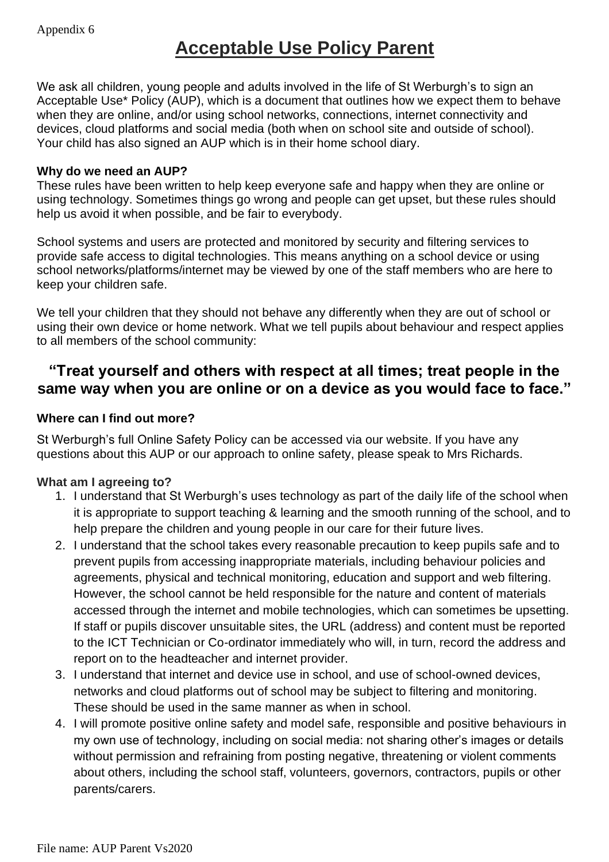# **Acceptable Use Policy Parent**

We ask all children, young people and adults involved in the life of St Werburgh's to sign an Acceptable Use\* Policy (AUP), which is a document that outlines how we expect them to behave when they are online, and/or using school networks, connections, internet connectivity and devices, cloud platforms and social media (both when on school site and outside of school). Your child has also signed an AUP which is in their home school diary.

#### **Why do we need an AUP?**

These rules have been written to help keep everyone safe and happy when they are online or using technology. Sometimes things go wrong and people can get upset, but these rules should help us avoid it when possible, and be fair to everybody.

School systems and users are protected and monitored by security and filtering services to provide safe access to digital technologies. This means anything on a school device or using school networks/platforms/internet may be viewed by one of the staff members who are here to keep your children safe.

We tell your children that they should not behave any differently when they are out of school or using their own device or home network. What we tell pupils about behaviour and respect applies to all members of the school community:

## **"Treat yourself and others with respect at all times; treat people in the same way when you are online or on a device as you would face to face."**

### **Where can I find out more?**

St Werburgh's full Online Safety Policy can be accessed via our website. If you have any questions about this AUP or our approach to online safety, please speak to Mrs Richards.

### **What am I agreeing to?**

- 1. I understand that St Werburgh's uses technology as part of the daily life of the school when it is appropriate to support teaching & learning and the smooth running of the school, and to help prepare the children and young people in our care for their future lives.
- 2. I understand that the school takes every reasonable precaution to keep pupils safe and to prevent pupils from accessing inappropriate materials, including behaviour policies and agreements, physical and technical monitoring, education and support and web filtering. However, the school cannot be held responsible for the nature and content of materials accessed through the internet and mobile technologies, which can sometimes be upsetting. If staff or pupils discover unsuitable sites, the URL (address) and content must be reported to the ICT Technician or Co-ordinator immediately who will, in turn, record the address and report on to the headteacher and internet provider.
- 3. I understand that internet and device use in school, and use of school-owned devices, networks and cloud platforms out of school may be subject to filtering and monitoring. These should be used in the same manner as when in school.
- 4. I will promote positive online safety and model safe, responsible and positive behaviours in my own use of technology, including on social media: not sharing other's images or details without permission and refraining from posting negative, threatening or violent comments about others, including the school staff, volunteers, governors, contractors, pupils or other parents/carers.